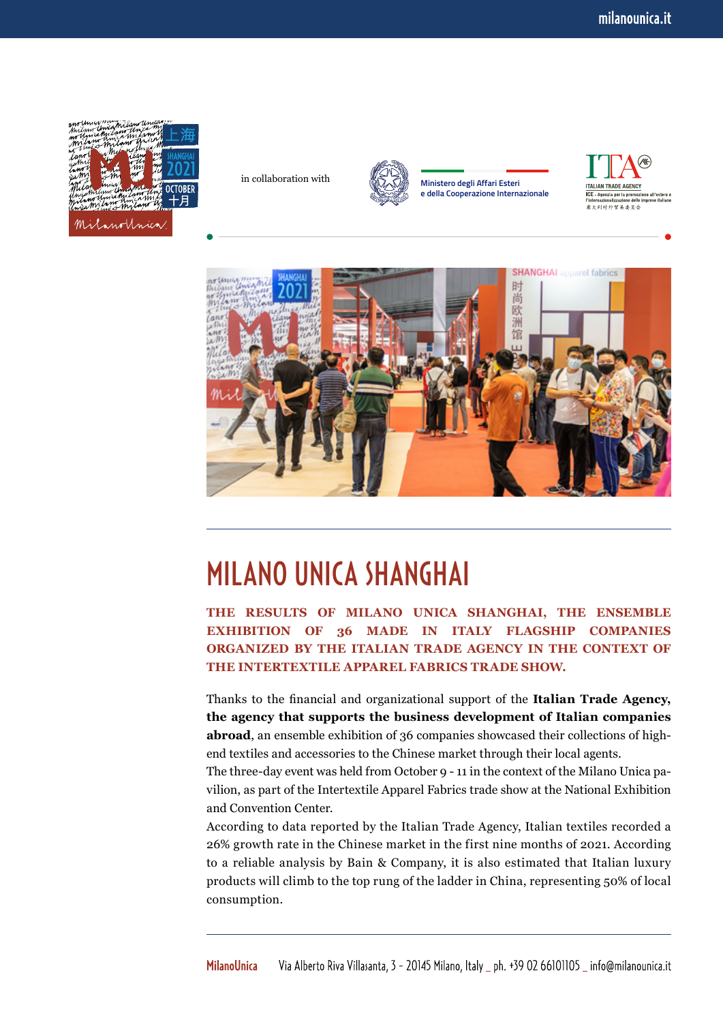

in collaboration with



**Ministero degli Affari Esteri e della Cooperazione Internazionale**





## MILANO UNICA SHANGHAI

**THE RESULTS OF MILANO UNICA SHANGHAI, THE ENSEMBLE EXHIBITION OF 36 MADE IN ITALY FLAGSHIP COMPANIES ORGANIZED BY THE ITALIAN TRADE AGENCY IN THE CONTEXT OF THE INTERTEXTILE APPAREL FABRICS TRADE SHOW.**

Thanks to the financial and organizational support of the **Italian Trade Agency, the agency that supports the business development of Italian companies abroad**, an ensemble exhibition of 36 companies showcased their collections of highend textiles and accessories to the Chinese market through their local agents.

The three-day event was held from October 9 - 11 in the context of the Milano Unica pavilion, as part of the Intertextile Apparel Fabrics trade show at the National Exhibition and Convention Center.

According to data reported by the Italian Trade Agency, Italian textiles recorded a 26% growth rate in the Chinese market in the first nine months of 2021. According to a reliable analysis by Bain & Company, it is also estimated that Italian luxury products will climb to the top rung of the ladder in China, representing 50% of local consumption.